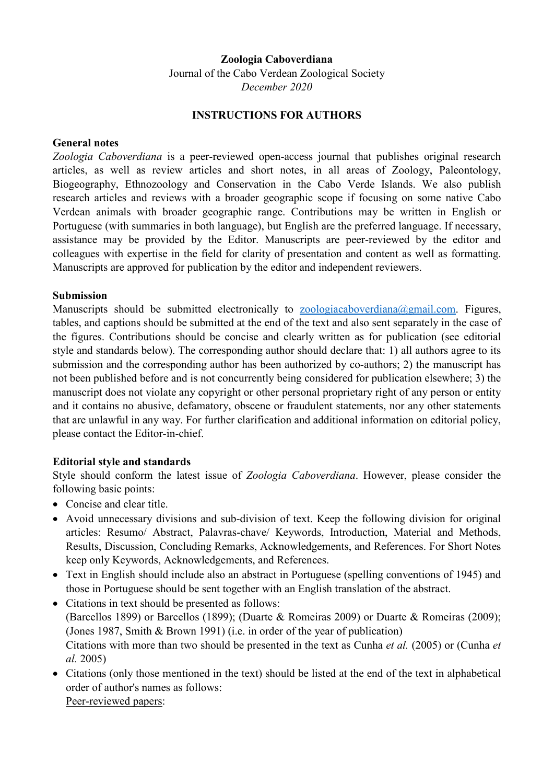### **Zoologia Caboverdiana**

Journal of the Cabo Verdean Zoological Society *December 2020* 

#### **INSTRUCTIONS FOR AUTHORS**

### **General notes**

*Zoologia Caboverdiana* is a peer-reviewed open-access journal that publishes original research articles, as well as review articles and short notes, in all areas of Zoology, Paleontology, Biogeography, Ethnozoology and Conservation in the Cabo Verde Islands. We also publish research articles and reviews with a broader geographic scope if focusing on some native Cabo Verdean animals with broader geographic range. Contributions may be written in English or Portuguese (with summaries in both language), but English are the preferred language. If necessary, assistance may be provided by the Editor. Manuscripts are peer-reviewed by the editor and colleagues with expertise in the field for clarity of presentation and content as well as formatting. Manuscripts are approved for publication by the editor and independent reviewers.

### **Submission**

Manuscripts should be submitted electronically to zoologiacaboverdiana@gmail.com. Figures, tables, and captions should be submitted at the end of the text and also sent separately in the case of the figures. Contributions should be concise and clearly written as for publication (see editorial style and standards below). The corresponding author should declare that: 1) all authors agree to its submission and the corresponding author has been authorized by co-authors; 2) the manuscript has not been published before and is not concurrently being considered for publication elsewhere; 3) the manuscript does not violate any copyright or other personal proprietary right of any person or entity and it contains no abusive, defamatory, obscene or fraudulent statements, nor any other statements that are unlawful in any way. For further clarification and additional information on editorial policy, please contact the Editor-in-chief.

## **Editorial style and standards**

Style should conform the latest issue of *Zoologia Caboverdiana*. However, please consider the following basic points:

- Concise and clear title.
- Avoid unnecessary divisions and sub-division of text. Keep the following division for original articles: Resumo/ Abstract, Palavras-chave/ Keywords, Introduction, Material and Methods, Results, Discussion, Concluding Remarks, Acknowledgements, and References. For Short Notes keep only Keywords, Acknowledgements, and References.
- Text in English should include also an abstract in Portuguese (spelling conventions of 1945) and those in Portuguese should be sent together with an English translation of the abstract.
- Citations in text should be presented as follows: (Barcellos 1899) or Barcellos (1899); (Duarte & Romeiras 2009) or Duarte & Romeiras (2009); (Jones 1987, Smith & Brown 1991) (i.e. in order of the year of publication) Citations with more than two should be presented in the text as Cunha *et al.* (2005) or (Cunha *et al.* 2005)
- Citations (only those mentioned in the text) should be listed at the end of the text in alphabetical order of author's names as follows: Peer-reviewed papers: